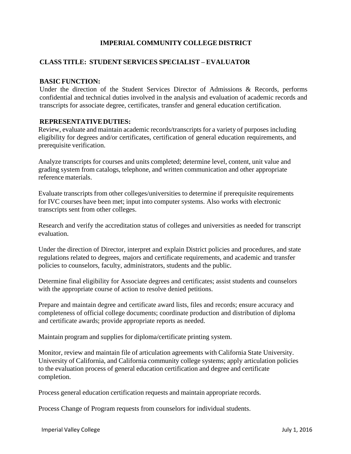# **IMPERIAL COMMUNITY COLLEGE DISTRICT**

### **CLASS TITLE: STUDENT SERVICES SPECIALIST – EVALUATOR**

#### **BASIC FUNCTION:**

Under the direction of the Student Services Director of Admissions & Records, performs confidential and technical duties involved in the analysis and evaluation of academic records and transcripts for associate degree, certificates, transfer and general education certification.

#### **REPRESENTATIVEDUTIES:**

Review, evaluate and maintain academic records/transcripts for a variety of purposes including eligibility for degrees and/or certificates, certification of general education requirements, and prerequisite verification.

Analyze transcripts for courses and units completed; determine level, content, unit value and grading system from catalogs, telephone, and written communication and other appropriate reference materials.

Evaluate transcripts from other colleges/universities to determine if prerequisite requirements for IVC courses have been met; input into computer systems. Also works with electronic transcripts sent from other colleges.

Research and verify the accreditation status of colleges and universities as needed for transcript evaluation.

Under the direction of Director, interpret and explain District policies and procedures, and state regulations related to degrees, majors and certificate requirements, and academic and transfer policies to counselors, faculty, administrators, students and the public.

Determine final eligibility for Associate degrees and certificates; assist students and counselors with the appropriate course of action to resolve denied petitions.

Prepare and maintain degree and certificate award lists, files and records; ensure accuracy and completeness of official college documents; coordinate production and distribution of diploma and certificate awards; provide appropriate reports as needed.

Maintain program and supplies for diploma/certificate printing system.

Monitor, review and maintain file of articulation agreements with California State University. University of California, and California community college systems; apply articulation policies to the evaluation process of general education certification and degree and certificate completion.

Process general education certification requests and maintain appropriate records.

Process Change of Program requests from counselors for individual students.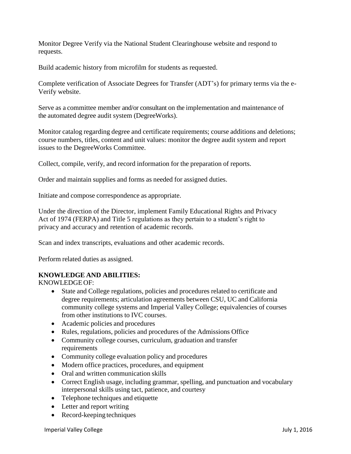Monitor Degree Verify via the National Student Clearinghouse website and respond to requests.

Build academic history from microfilm for students as requested.

Complete verification of Associate Degrees for Transfer (ADT's) for primary terms via the e-Verify website.

Serve as a committee member and/or consultant on the implementation and maintenance of the automated degree audit system (DegreeWorks).

Monitor catalog regarding degree and certificate requirements; course additions and deletions; course numbers, titles, content and unit values: monitor the degree audit system and report issues to the DegreeWorks Committee.

Collect, compile, verify, and record information for the preparation of reports.

Order and maintain supplies and forms as needed for assigned duties.

Initiate and compose correspondence as appropriate.

Under the direction of the Director, implement Family Educational Rights and Privacy Act of 1974 (FERPA) and Title 5 regulations as they pertain to a student's right to privacy and accuracy and retention of academic records.

Scan and index transcripts, evaluations and other academic records.

Perform related duties as assigned.

#### **KNOWLEDGE AND ABILITIES:**

KNOWLEDGE OF:

- State and College regulations, policies and procedures related to certificate and degree requirements; articulation agreements between CSU, UC and California community college systems and Imperial Valley College; equivalencies of courses from other institutions to IVC courses.
- Academic policies and procedures
- Rules, regulations, policies and procedures of the Admissions Office
- Community college courses, curriculum, graduation and transfer requirements
- Community college evaluation policy and procedures
- Modern office practices, procedures, and equipment
- Oral and written communication skills
- Correct English usage, including grammar, spelling, and punctuation and vocabulary interpersonal skills using tact, patience, and courtesy
- Telephone techniques and etiquette
- Letter and report writing
- Record-keeping techniques